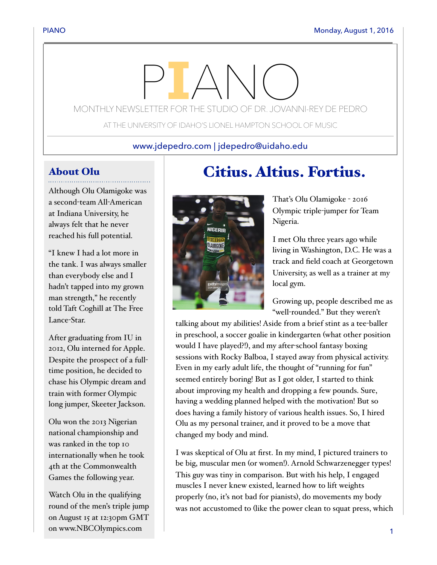# MONTHLY NEWSLETTER FOR THE STUDIO OF DR. JOVANNI-REY DE PEDRO

AT THE UNIVERSITY OF IDAHO'S LIONEL HAMPTON SCHOOL OF MUSIC

## www.jdepedro.com | jdepedro@uidaho.edu

# About Olu

Although Olu Olamigoke was a second-team All-American at Indiana University, he always felt that he never reached his full potential.

"I knew I had a lot more in the tank. I was always smaller than everybody else and I hadn't tapped into my grown man strength," he recently told Taft Coghill at The Free Lance-Star.

After graduating from IU in 2012, Olu interned for Apple. Despite the prospect of a fulltime position, he decided to chase his Olympic dream and train with former Olympic long jumper, Skeeter Jackson.

Olu won the 2013 Nigerian national championship and was ranked in the top 10 internationally when he took 4th at the Commonwealth Games the following year.

Watch Olu in the qualifying round of the men's triple jump on August 15 at 12:30pm GMT on www.NBCOlympics.com

# Citius. Altius. Fortius.



That's Olu Olamigoke - 2016 Olympic triple-jumper for Team Nigeria.

I met Olu three years ago while living in Washington, D.C. He was a track and field coach at Georgetown University, as well as a trainer at my local gym.

Growing up, people described me as "well-rounded." But they weren't

talking about my abilities! Aside from a brief stint as a tee-baller in preschool, a soccer goalie in kindergarten (what other position would I have played?!), and my after-school fantasy boxing sessions with Rocky Balboa, I stayed away from physical activity. Even in my early adult life, the thought of "running for fun" seemed entirely boring! But as I got older, I started to think about improving my health and dropping a few pounds. Sure, having a wedding planned helped with the motivation! But so does having a family history of various health issues. So, I hired Olu as my personal trainer, and it proved to be a move that changed my body and mind.

I was skeptical of Olu at first. In my mind, I pictured trainers to be big, muscular men (or women!). Arnold Schwarzenegger types! This guy was tiny in comparison. But with his help, I engaged muscles I never knew existed, learned how to lift weights properly (no, it's not bad for pianists), do movements my body was not accustomed to (like the power clean to squat press, which